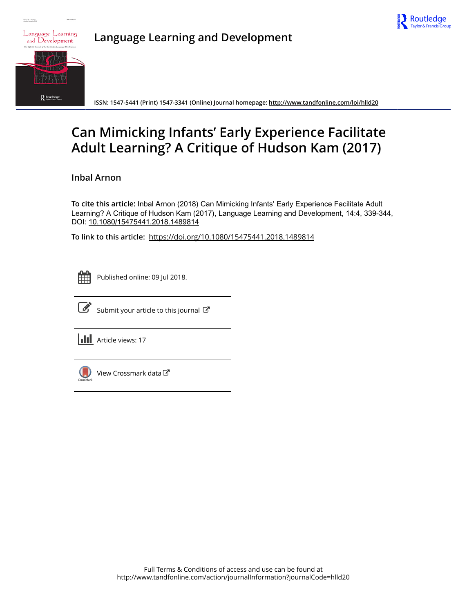



**Nideas 14 Stadbard** 

**Language Learning and Development**

**ISSN: 1547-5441 (Print) 1547-3341 (Online) Journal homepage:<http://www.tandfonline.com/loi/hlld20>**

# **Can Mimicking Infants' Early Experience Facilitate Adult Learning? A Critique of Hudson Kam (2017)**

**Inbal Arnon**

**To cite this article:** Inbal Arnon (2018) Can Mimicking Infants' Early Experience Facilitate Adult Learning? A Critique of Hudson Kam (2017), Language Learning and Development, 14:4, 339-344, DOI: [10.1080/15475441.2018.1489814](http://www.tandfonline.com/action/showCitFormats?doi=10.1080/15475441.2018.1489814)

**To link to this article:** <https://doi.org/10.1080/15475441.2018.1489814>

| - |  |  |  |  |
|---|--|--|--|--|
|   |  |  |  |  |
|   |  |  |  |  |
|   |  |  |  |  |

Published online: 09 Jul 2018.



 $\mathbb{Z}$  [Submit your article to this journal](http://www.tandfonline.com/action/authorSubmission?journalCode=hlld20&show=instructions)  $\mathbb{Z}$ 

**III** Article views: 17



[View Crossmark data](http://crossmark.crossref.org/dialog/?doi=10.1080/15475441.2018.1489814&domain=pdf&date_stamp=2018-07-09)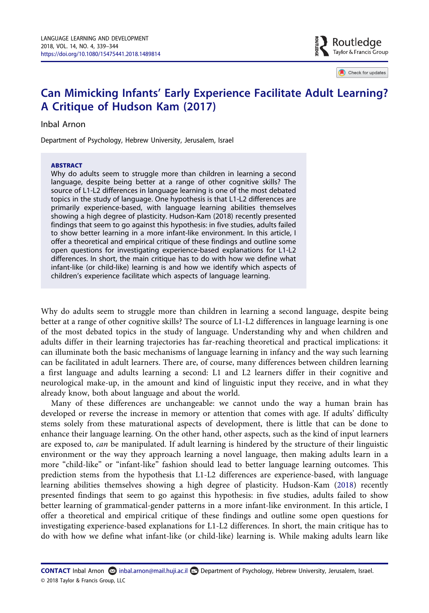$\blacksquare$  Routledae Taylor & Francis Group

Check for updates

# Can Mimicking Infants' Early Experience Facilitate Adult Learning? A Critique of Hudson Kam (2017)

# Inbal Arnon

Department of Psychology, Hebrew University, Jerusalem, Israel

#### ABSTRACT

Why do adults seem to struggle more than children in learning a second language, despite being better at a range of other cognitive skills? The source of L1-L2 differences in language learning is one of the most debated topics in the study of language. One hypothesis is that L1-L2 differences are primarily experience-based, with language learning abilities themselves showing a high degree of plasticity. Hudson-Kam (2018) recently presented findings that seem to go against this hypothesis: in five studies, adults failed to show better learning in a more infant-like environment. In this article, I offer a theoretical and empirical critique of these findings and outline some open questions for investigating experience-based explanations for L1-L2 differences. In short, the main critique has to do with how we define what infant-like (or child-like) learning is and how we identify which aspects of children's experience facilitate which aspects of language learning.

Why do adults seem to struggle more than children in learning a second language, despite being better at a range of other cognitive skills? The source of L1-L2 differences in language learning is one of the most debated topics in the study of language. Understanding why and when children and adults differ in their learning trajectories has far-reaching theoretical and practical implications: it can illuminate both the basic mechanisms of language learning in infancy and the way such learning can be facilitated in adult learners. There are, of course, many differences between children learning a first language and adults learning a second: L1 and L2 learners differ in their cognitive and neurological make-up, in the amount and kind of linguistic input they receive, and in what they already know, both about language and about the world.

<span id="page-1-0"></span>Many of these differences are unchangeable: we cannot undo the way a human brain has developed or reverse the increase in memory or attention that comes with age. If adults' difficulty stems solely from these maturational aspects of development, there is little that can be done to enhance their language learning. On the other hand, other aspects, such as the kind of input learners are exposed to, can be manipulated. If adult learning is hindered by the structure of their linguistic environment or the way they approach learning a novel language, then making adults learn in a more "child-like" or "infant-like" fashion should lead to better language learning outcomes. This prediction stems from the hypothesis that L1-L2 differences are experience-based, with language learning abilities themselves showing a high degree of plasticity. Hudson-Kam [\(2018](#page-6-0)) recently presented findings that seem to go against this hypothesis: in five studies, adults failed to show better learning of grammatical-gender patterns in a more infant-like environment. In this article, I offer a theoretical and empirical critique of these findings and outline some open questions for investigating experience-based explanations for L1-L2 differences. In short, the main critique has to do with how we define what infant-like (or child-like) learning is. While making adults learn like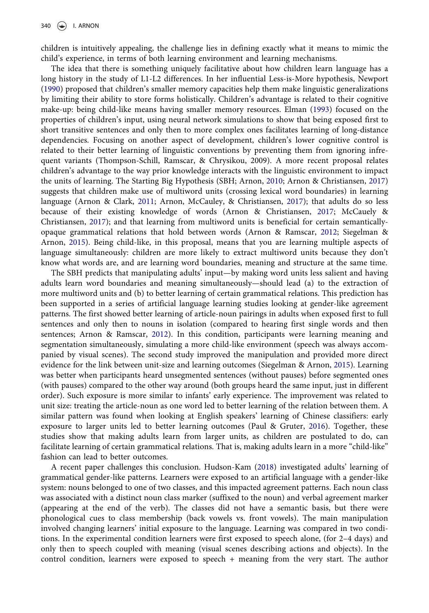children is intuitively appealing, the challenge lies in defining exactly what it means to mimic the child's experience, in terms of both learning environment and learning mechanisms.

<span id="page-2-6"></span><span id="page-2-4"></span>The idea that there is something uniquely facilitative about how children learn language has a long history in the study of L1-L2 differences. In her influential Less-is-More hypothesis, Newport [\(1990\)](#page-6-1) proposed that children's smaller memory capacities help them make linguistic generalizations by limiting their ability to store forms holistically. Children's advantage is related to their cognitive make-up: being child-like means having smaller memory resources. Elman ([1993\)](#page-5-0) focused on the properties of children's input, using neural network simulations to show that being exposed first to short transitive sentences and only then to more complex ones facilitates learning of long-distance dependencies. Focusing on another aspect of development, children's lower cognitive control is related to their better learning of linguistic conventions by preventing them from ignoring infrequent variants (Thompson-Schill, Ramscar, & Chrysikou, 2009). A more recent proposal relates children's advantage to the way prior knowledge interacts with the linguistic environment to impact the units of learning. The Starting Big Hypothesis (SBH; Arnon, [2010](#page-5-1); Arnon & Christiansen, [2017\)](#page-5-2) suggests that children make use of multiword units (crossing lexical word boundaries) in learning language (Arnon & Clark, [2011](#page-5-3); Arnon, McCauley, & Christiansen, [2017](#page-5-4)); that adults do so less because of their existing knowledge of words (Arnon & Christiansen, [2017;](#page-5-2) McCauely & Christiansen, [2017](#page-6-2)); and that learning from multiword units is beneficial for certain semanticallyopaque grammatical relations that hold between words (Arnon & Ramscar, [2012;](#page-5-5) Siegelman & Arnon, [2015](#page-6-3)). Being child-like, in this proposal, means that you are learning multiple aspects of language simultaneously: children are more likely to extract multiword units because they don't know what words are, and are learning word boundaries, meaning and structure at the same time.

<span id="page-2-8"></span><span id="page-2-5"></span><span id="page-2-3"></span><span id="page-2-2"></span><span id="page-2-1"></span><span id="page-2-0"></span>The SBH predicts that manipulating adults' input—by making word units less salient and having adults learn word boundaries and meaning simultaneously—should lead (a) to the extraction of more multiword units and (b) to better learning of certain grammatical relations. This prediction has been supported in a series of artificial language learning studies looking at gender-like agreement patterns. The first showed better learning of article-noun pairings in adults when exposed first to full sentences and only then to nouns in isolation (compared to hearing first single words and then sentences; Arnon & Ramscar, [2012](#page-5-5)). In this condition, participants were learning meaning and segmentation simultaneously, simulating a more child-like environment (speech was always accompanied by visual scenes). The second study improved the manipulation and provided more direct evidence for the link between unit-size and learning outcomes (Siegelman & Arnon, [2015](#page-6-3)). Learning was better when participants heard unsegmented sentences (without pauses) before segmented ones (with pauses) compared to the other way around (both groups heard the same input, just in different order). Such exposure is more similar to infants' early experience. The improvement was related to unit size: treating the article-noun as one word led to better learning of the relation between them. A similar pattern was found when looking at English speakers' learning of Chinese classifiers: early exposure to larger units led to better learning outcomes (Paul & Gruter, [2016](#page-6-4)). Together, these studies show that making adults learn from larger units, as children are postulated to do, can facilitate learning of certain grammatical relations. That is, making adults learn in a more "child-like" fashion can lead to better outcomes.

<span id="page-2-7"></span>A recent paper challenges this conclusion. Hudson-Kam [\(2018\)](#page-6-0) investigated adults' learning of grammatical gender-like patterns. Learners were exposed to an artificial language with a gender-like system: nouns belonged to one of two classes, and this impacted agreement patterns. Each noun class was associated with a distinct noun class marker (suffixed to the noun) and verbal agreement marker (appearing at the end of the verb). The classes did not have a semantic basis, but there were phonological cues to class membership (back vowels vs. front vowels). The main manipulation involved changing learners' initial exposure to the language. Learning was compared in two conditions. In the experimental condition learners were first exposed to speech alone, (for 2–4 days) and only then to speech coupled with meaning (visual scenes describing actions and objects). In the control condition, learners were exposed to speech + meaning from the very start. The author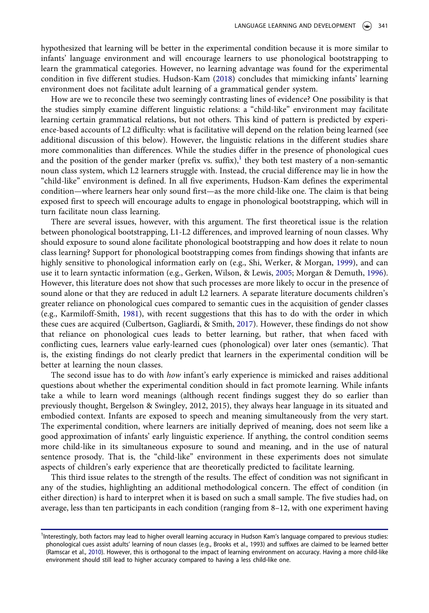hypothesized that learning will be better in the experimental condition because it is more similar to infants' language environment and will encourage learners to use phonological bootstrapping to learn the grammatical categories. However, no learning advantage was found for the experimental condition in five different studies. Hudson-Kam ([2018\)](#page-6-0) concludes that mimicking infants' learning environment does not facilitate adult learning of a grammatical gender system.

How are we to reconcile these two seemingly contrasting lines of evidence? One possibility is that the studies simply examine different linguistic relations: a "child-like" environment may facilitate learning certain grammatical relations, but not others. This kind of pattern is predicted by experience-based accounts of L2 difficulty: what is facilitative will depend on the relation being learned (see additional discussion of this below). However, the linguistic relations in the different studies share more commonalities than differences. While the studies differ in the presence of phonological cues and the position of the gender marker (prefix vs. suffix), $\frac{1}{1}$  $\frac{1}{1}$  $\frac{1}{1}$  they both test mastery of a non-semantic noun class system, which L2 learners struggle with. Instead, the crucial difference may lie in how the "child-like" environment is defined. In all five experiments, Hudson-Kam defines the experimental condition—where learners hear only sound first—as the more child-like one. The claim is that being exposed first to speech will encourage adults to engage in phonological bootstrapping, which will in turn facilitate noun class learning.

<span id="page-3-5"></span><span id="page-3-2"></span>There are several issues, however, with this argument. The first theoretical issue is the relation between phonological bootstrapping, L1-L2 differences, and improved learning of noun classes. Why should exposure to sound alone facilitate phonological bootstrapping and how does it relate to noun class learning? Support for phonological bootstrapping comes from findings showing that infants are highly sensitive to phonological information early on (e.g., Shi, Werker, & Morgan, [1999](#page-6-5)), and can use it to learn syntactic information (e.g., Gerken, Wilson, & Lewis, [2005;](#page-6-6) Morgan & Demuth, [1996](#page-6-7)). However, this literature does not show that such processes are more likely to occur in the presence of sound alone or that they are reduced in adult L2 learners. A separate literature documents children's greater reliance on phonological cues compared to semantic cues in the acquisition of gender classes (e.g., Karmiloff-Smith, [1981](#page-6-8)), with recent suggestions that this has to do with the order in which these cues are acquired (Culbertson, Gagliardi, & Smith, [2017](#page-5-6)). However, these findings do not show that reliance on phonological cues leads to better learning, but rather, that when faced with conflicting cues, learners value early-learned cues (phonological) over later ones (semantic). That is, the existing findings do not clearly predict that learners in the experimental condition will be better at learning the noun classes.

<span id="page-3-3"></span><span id="page-3-1"></span>The second issue has to do with *how* infant's early experience is mimicked and raises additional questions about whether the experimental condition should in fact promote learning. While infants take a while to learn word meanings (although recent findings suggest they do so earlier than previously thought, Bergelson & Swingley, 2012, 2015), they always hear language in its situated and embodied context. Infants are exposed to speech and meaning simultaneously from the very start. The experimental condition, where learners are initially deprived of meaning, does not seem like a good approximation of infants' early linguistic experience. If anything, the control condition seems more child-like in its simultaneous exposure to sound and meaning, and in the use of natural sentence prosody. That is, the "child-like" environment in these experiments does not simulate aspects of children's early experience that are theoretically predicted to facilitate learning.

This third issue relates to the strength of the results. The effect of condition was not significant in any of the studies, highlighting an additional methodological concern. The effect of condition (in either direction) is hard to interpret when it is based on such a small sample. The five studies had, on average, less than ten participants in each condition (ranging from 8–12, with one experiment having

<span id="page-3-4"></span><span id="page-3-0"></span><sup>&</sup>lt;sup>1</sup>Interestingly, both factors may lead to higher overall learning accuracy in Hudson Kam's language compared to previous studies: phonological cues assist adults' learning of noun classes (e.g., Brooks et al., 1993) and suffixes are claimed to be learned better (Ramscar et al., [2010](#page-6-9)). However, this is orthogonal to the impact of learning environment on accuracy. Having a more child-like environment should still lead to higher accuracy compared to having a less child-like one.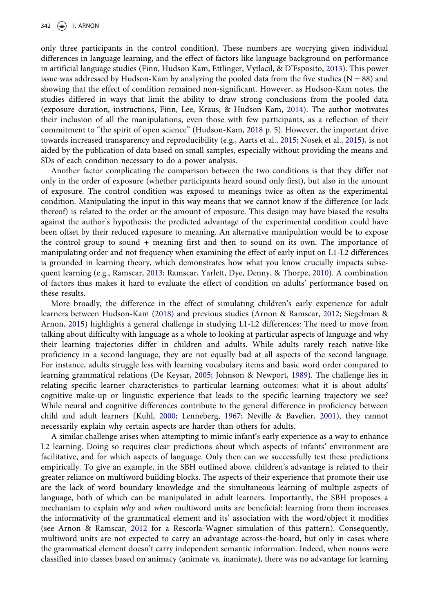<span id="page-4-3"></span><span id="page-4-2"></span>only three participants in the control condition). These numbers are worrying given individual differences in language learning, and the effect of factors like language background on performance in artificial language studies (Finn, Hudson Kam, Ettlinger, Vytlacil, & D'Esposito, [2013](#page-5-7)). This power issue was addressed by Hudson-Kam by analyzing the pooled data from the five studies ( $N = 88$ ) and showing that the effect of condition remained non-significant. However, as Hudson-Kam notes, the studies differed in ways that limit the ability to draw strong conclusions from the pooled data (exposure duration, instructions, Finn, Lee, Kraus, & Hudson Kam, [2014](#page-5-8)). The author motivates their inclusion of all the manipulations, even those with few participants, as a reflection of their commitment to "the spirit of open science" (Hudson-Kam, [2018](#page-6-0) p. 5). However, the important drive towards increased transparency and reproducibility (e.g., Aarts et al., [2015](#page-5-9); Nosek et al., [2015\)](#page-6-10), is not aided by the publication of data based on small samples, especially without providing the means and SDs of each condition necessary to do a power analysis.

<span id="page-4-0"></span>Another factor complicating the comparison between the two conditions is that they differ not only in the order of exposure (whether participants heard sound only first), but also in the amount of exposure. The control condition was exposed to meanings twice as often as the experimental condition. Manipulating the input in this way means that we cannot know if the difference (or lack thereof) is related to the order or the amount of exposure. This design may have biased the results against the author's hypothesis: the predicted advantage of the experimental condition could have been offset by their reduced exposure to meaning. An alternative manipulation would be to expose the control group to sound + meaning first and then to sound on its own. The importance of manipulating order and not frequency when examining the effect of early input on L1-L2 differences is grounded in learning theory, which demonstrates how what you know crucially impacts subsequent learning (e.g., Ramscar, [2013](#page-6-11); Ramscar, Yarlett, Dye, Denny, & Thorpe, [2010](#page-6-9)). A combination of factors thus makes it hard to evaluate the effect of condition on adults' performance based on these results.

<span id="page-4-5"></span><span id="page-4-1"></span>More broadly, the difference in the effect of simulating children's early experience for adult learners between Hudson-Kam ([2018](#page-6-0)) and previous studies (Arnon & Ramscar, [2012;](#page-5-5) Siegelman & Arnon, [2015](#page-6-3)) highlights a general challenge in studying L1-L2 differences: The need to move from talking about difficulty with language as a whole to looking at particular aspects of language and why their learning trajectories differ in children and adults. While adults rarely reach native-like proficiency in a second language, they are not equally bad at all aspects of the second language. For instance, adults struggle less with learning vocabulary items and basic word order compared to learning grammatical relations (De Keysar, [2005;](#page-5-10) Johnson & Newport, [1989\)](#page-6-12). The challenge lies in relating specific learner characteristics to particular learning outcomes: what it is about adults' cognitive make-up or linguistic experience that leads to the specific learning trajectory we see? While neural and cognitive differences contribute to the general difference in proficiency between child and adult learners (Kuhl, [2000](#page-6-13); Lenneberg, [1967;](#page-6-14) Neville & Bavelier, [2001](#page-6-15)), they cannot necessarily explain why certain aspects are harder than others for adults.

<span id="page-4-4"></span>A similar challenge arises when attempting to mimic infant's early experience as a way to enhance L2 learning. Doing so requires clear predictions about which aspects of infants' environment are facilitative, and for which aspects of language. Only then can we successfully test these predictions empirically. To give an example, in the SBH outlined above, children's advantage is related to their greater reliance on multiword building blocks. The aspects of their experience that promote their use are the lack of word boundary knowledge and the simultaneous learning of multiple aspects of language, both of which can be manipulated in adult learners. Importantly, the SBH proposes a mechanism to explain why and when multiword units are beneficial: learning from them increases the informativity of the grammatical element and its' association with the word/object it modifies (see Arnon & Ramscar, [2012](#page-5-5) for a Rescorla-Wagner simulation of this pattern). Consequently, multiword units are not expected to carry an advantage across-the-board, but only in cases where the grammatical element doesn't carry independent semantic information. Indeed, when nouns were classified into classes based on animacy (animate vs. inanimate), there was no advantage for learning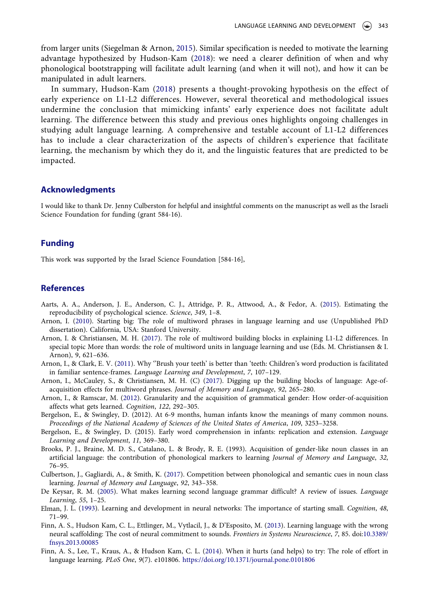from larger units (Siegelman & Arnon, [2015](#page-6-3)). Similar specification is needed to motivate the learning advantage hypothesized by Hudson-Kam ([2018\)](#page-6-0): we need a clearer definition of when and why phonological bootstrapping will facilitate adult learning (and when it will not), and how it can be manipulated in adult learners.

In summary, Hudson-Kam [\(2018\)](#page-6-0) presents a thought-provoking hypothesis on the effect of early experience on L1-L2 differences. However, several theoretical and methodological issues undermine the conclusion that mimicking infants' early experience does not facilitate adult learning. The difference between this study and previous ones highlights ongoing challenges in studying adult language learning. A comprehensive and testable account of L1-L2 differences has to include a clear characterization of the aspects of children's experience that facilitate learning, the mechanism by which they do it, and the linguistic features that are predicted to be impacted.

### Acknowledgments

I would like to thank Dr. Jenny Culberston for helpful and insightful comments on the manuscript as well as the Israeli Science Foundation for funding (grant 584-16).

# Funding

This work was supported by the Israel Science Foundation [584-16],

## References

- <span id="page-5-9"></span>Aarts, A. A., Anderson, J. E., Anderson, C. J., Attridge, P. R., Attwood, A., & Fedor, A. [\(2015](#page-4-0)). Estimating the reproducibility of psychological science. Science, 349, 1–8.
- <span id="page-5-1"></span>Arnon, I. ([2010](#page-2-0)). Starting big: The role of multiword phrases in language learning and use (Unpublished PhD dissertation). California, USA: Stanford University.
- <span id="page-5-2"></span>Arnon, I. & Christiansen, M. H. [\(2017](#page-2-1)). The role of multiword building blocks in explaining L1-L2 differences. In special topic More than words: the role of multiword units in language learning and use (Eds. M. Christiansen & I. Arnon), 9, 621–636.
- <span id="page-5-3"></span>Arnon, I., & Clark, E. V. [\(2011\)](#page-2-2). Why ''Brush your teeth' is better than 'teeth: Children's word production is facilitated in familiar sentence-frames. Language Learning and Development, 7, 107–129.
- <span id="page-5-4"></span>Arnon, I., McCauley, S., & Christiansen, M. H. (C) ([2017](#page-2-2)). Digging up the building blocks of language: Age-ofacquisition effects for multiword phrases. Journal of Memory and Language, 92, 265–280.
- <span id="page-5-5"></span>Arnon, I., & Ramscar, M. ([2012](#page-2-3)). Granularity and the acquisition of grammatical gender: How order-of-acquisition affects what gets learned. Cognition, 122, 292–305.
- Bergelson, E., & Swingley, D. (2012). At 6-9 months, human infants know the meanings of many common nouns. Proceedings of the National Academy of Sciences of the United States of America, 109, 3253–3258.
- Bergelson, E., & Swingley, D. (2015). Early word comprehension in infants: replication and extension. Language Learning and Development, 11, 369–380.
- Brooks, P. J., Braine, M. D. S., Catalano, L. & Brody, R. E. (1993). Acquisition of gender-like noun classes in an artificial language: the contribution of phonological markers to learning Journal of Memory and Language, 32, 76–95.
- <span id="page-5-6"></span>Culbertson, J., Gagliardi, A., & Smith, K. ([2017\)](#page-3-1). Competition between phonological and semantic cues in noun class learning. Journal of Memory and Language, 92, 343–358.
- <span id="page-5-10"></span>De Keysar, R. M. [\(2005\)](#page-4-1). What makes learning second language grammar difficult? A review of issues. Language Learning, 55, 1–25.
- <span id="page-5-0"></span>Elman, J. L. [\(1993\)](#page-2-4). Learning and development in neural networks: The importance of starting small. Cognition, 48, 71–99.
- <span id="page-5-7"></span>Finn, A. S., Hudson Kam, C. L., Ettlinger, M., Vytlacil, J., & D'Esposito, M. ([2013](#page-4-2)). Learning language with the wrong neural scaffolding: The cost of neural commitment to sounds. Frontiers in Systems Neuroscience, 7, 85. doi:[10.3389/](http://dx.doi.org/10.3389/fnsys.2013.00085) [fnsys.2013.00085](http://dx.doi.org/10.3389/fnsys.2013.00085)
- <span id="page-5-8"></span>Finn, A. S., Lee, T., Kraus, A., & Hudson Kam, C. L. [\(2014](#page-4-3)). When it hurts (and helps) to try: The role of effort in language learning. PLoS One, 9(7). e101806. <https://doi.org/10.1371/journal.pone.0101806>